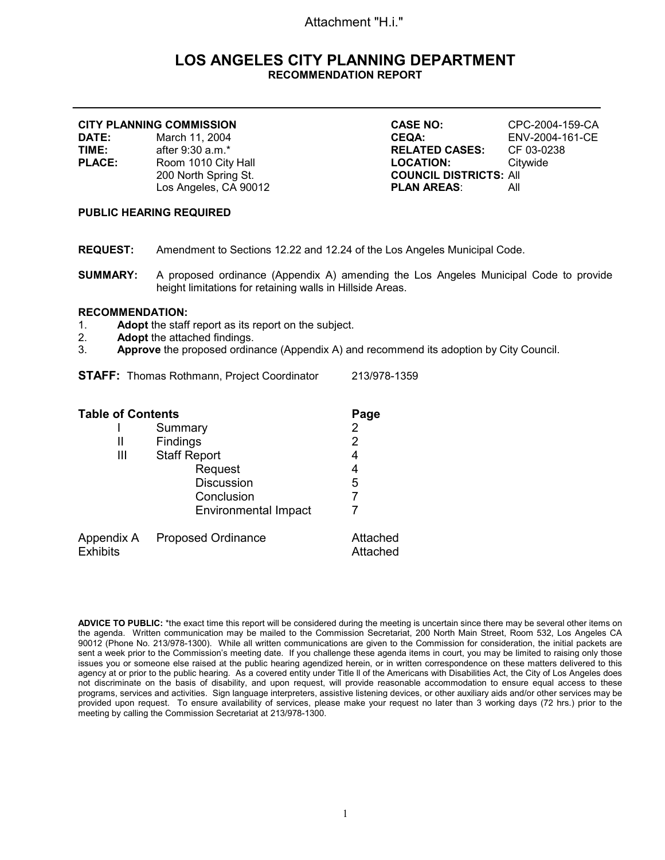# Attachment "H.i."

# **LOS ANGELES CITY PLANNING DEPARTMENT RECOMMENDATION REPORT**

|               | <b>CITY PLANNING COMMISSION</b> | <b>CASE NO:</b>               | CPC-2004-159-CA |
|---------------|---------------------------------|-------------------------------|-----------------|
| <b>DATE:</b>  | March 11, 2004                  | <b>CEQA:</b>                  | ENV-2004-161-CE |
| TIME:         | after 9:30 a.m.*                | <b>RELATED CASES:</b>         | CF 03-0238      |
| <b>PLACE:</b> | Room 1010 City Hall             | <b>LOCATION:</b>              | Citvwide        |
|               | 200 North Spring St.            | <b>COUNCIL DISTRICTS: All</b> |                 |
|               | Los Angeles, CA 90012           | <b>PLAN AREAS:</b>            | All             |
|               |                                 |                               |                 |

### **PUBLIC HEARING REQUIRED**

- **REQUEST:** Amendment to Sections 12.22 and 12.24 of the Los Angeles Municipal Code.
- **SUMMARY:** A proposed ordinance (Appendix A) amending the Los Angeles Municipal Code to provide height limitations for retaining walls in Hillside Areas.

# **RECOMMENDATION:**

- 1. **Adopt** the staff report as its report on the subject.<br>2. **Adopt** the attached findings.
- 2. **Adopt** the attached findings.<br>3 **Approve** the proposed ordina
- Approve the proposed ordinance (Appendix A) and recommend its adoption by City Council.

|  |  | <b>STAFF:</b> Thomas Rothmann, Project Coordinator | 213/978-1359 |
|--|--|----------------------------------------------------|--------------|
|--|--|----------------------------------------------------|--------------|

| <b>Table of Contents</b>      |                             | Page                 |
|-------------------------------|-----------------------------|----------------------|
|                               | Summary                     | 2                    |
| Ш                             | <b>Findings</b>             | 2                    |
| Ш                             | <b>Staff Report</b>         | 4                    |
|                               | Request                     | 4                    |
|                               | <b>Discussion</b>           | 5                    |
|                               | Conclusion                  |                      |
|                               | <b>Environmental Impact</b> |                      |
| Appendix A<br><b>Exhibits</b> | <b>Proposed Ordinance</b>   | Attached<br>Attached |

ADVICE TO PUBLIC: \*the exact time this report will be considered during the meeting is uncertain since there may be several other items on the agenda. Written communication may be mailed to the Commission Secretariat, 200 North Main Street, Room 532, Los Angeles CA 90012 (Phone No. 213/978-1300). While all written communications are given to the Commission for consideration, the initial packets are sent a week prior to the Commission's meeting date. If you challenge these agenda items in court, you may be limited to raising only those issues you or someone else raised at the public hearing agendized herein, or in written correspondence on these matters delivered to this agency at or prior to the public hearing. As a covered entity under Title ll of the Americans with Disabilities Act, the City of Los Angeles does not discriminate on the basis of disability, and upon request, will provide reasonable accommodation to ensure equal access to these programs, services and activities. Sign language interpreters, assistive listening devices, or other auxiliary aids and/or other services may be provided upon request. To ensure availability of services, please make your request no later than 3 working days (72 hrs.) prior to the meeting by calling the Commission Secretariat at 213/978-1300.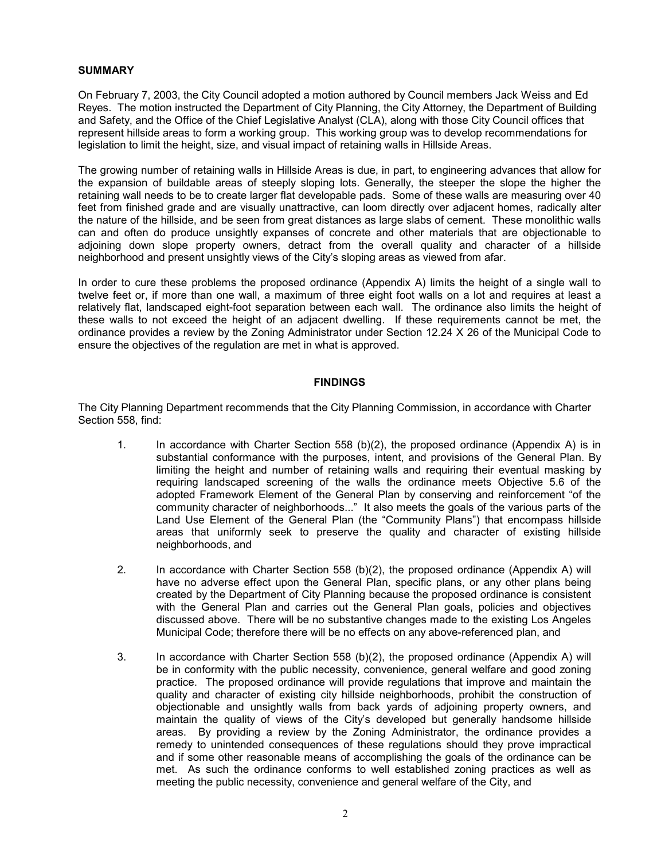#### **SUMMARY**

On February 7, 2003, the City Council adopted a motion authored by Council members Jack Weiss and Ed Reyes. The motion instructed the Department of City Planning, the City Attorney, the Department of Building and Safety, and the Office of the Chief Legislative Analyst (CLA), along with those City Council offices that represent hillside areas to form a working group. This working group was to develop recommendations for legislation to limit the height, size, and visual impact of retaining walls in Hillside Areas.

The growing number of retaining walls in Hillside Areas is due, in part, to engineering advances that allow for the expansion of buildable areas of steeply sloping lots. Generally, the steeper the slope the higher the retaining wall needs to be to create larger flat developable pads. Some of these walls are measuring over 40 feet from finished grade and are visually unattractive, can loom directly over adjacent homes, radically alter the nature of the hillside, and be seen from great distances as large slabs of cement. These monolithic walls can and often do produce unsightly expanses of concrete and other materials that are objectionable to adjoining down slope property owners, detract from the overall quality and character of a hillside neighborhood and present unsightly views of the City's sloping areas as viewed from afar.

In order to cure these problems the proposed ordinance (Appendix A) limits the height of a single wall to twelve feet or, if more than one wall, a maximum of three eight foot walls on a lot and requires at least a relatively flat, landscaped eight-foot separation between each wall. The ordinance also limits the height of these walls to not exceed the height of an adjacent dwelling. If these requirements cannot be met, the ordinance provides a review by the Zoning Administrator under Section 12.24 X 26 of the Municipal Code to ensure the objectives of the regulation are met in what is approved.

## **FINDINGS**

The City Planning Department recommends that the City Planning Commission, in accordance with Charter Section 558, find:

- 1. In accordance with Charter Section 558 (b)(2), the proposed ordinance (Appendix A) is in substantial conformance with the purposes, intent, and provisions of the General Plan. By limiting the height and number of retaining walls and requiring their eventual masking by requiring landscaped screening of the walls the ordinance meets Objective 5.6 of the adopted Framework Element of the General Plan by conserving and reinforcement "of the community character of neighborhoods..." It also meets the goals of the various parts of the Land Use Element of the General Plan (the "Community Plans") that encompass hillside areas that uniformly seek to preserve the quality and character of existing hillside neighborhoods, and
- 2. In accordance with Charter Section 558 (b)(2), the proposed ordinance (Appendix A) will have no adverse effect upon the General Plan, specific plans, or any other plans being created by the Department of City Planning because the proposed ordinance is consistent with the General Plan and carries out the General Plan goals, policies and objectives discussed above. There will be no substantive changes made to the existing Los Angeles Municipal Code; therefore there will be no effects on any above-referenced plan, and
- 3. In accordance with Charter Section 558 (b)(2), the proposed ordinance (Appendix A) will be in conformity with the public necessity, convenience, general welfare and good zoning practice. The proposed ordinance will provide regulations that improve and maintain the quality and character of existing city hillside neighborhoods, prohibit the construction of objectionable and unsightly walls from back yards of adjoining property owners, and maintain the quality of views of the City's developed but generally handsome hillside areas. By providing a review by the Zoning Administrator, the ordinance provides a remedy to unintended consequences of these regulations should they prove impractical and if some other reasonable means of accomplishing the goals of the ordinance can be met. As such the ordinance conforms to well established zoning practices as well as meeting the public necessity, convenience and general welfare of the City, and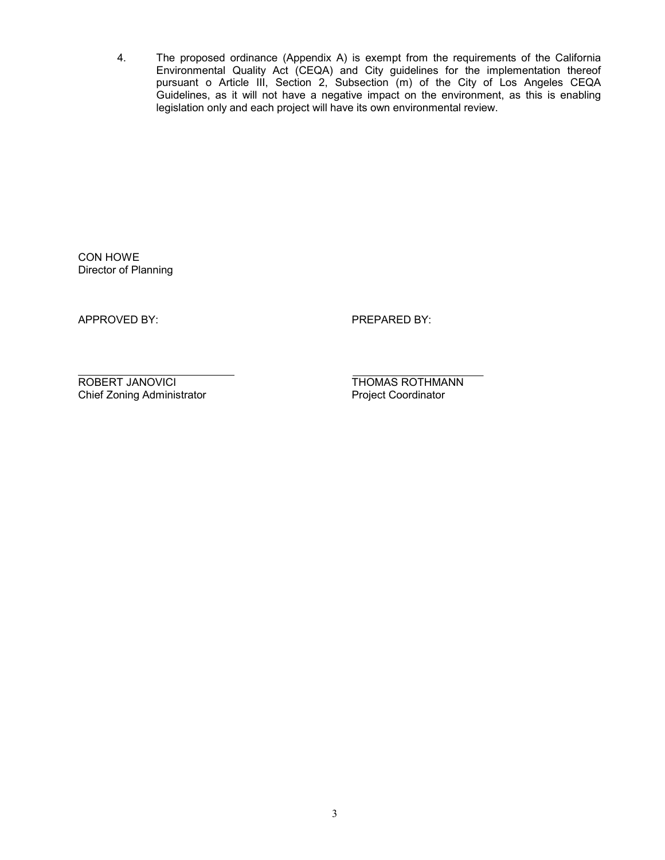4. The proposed ordinance (Appendix A) is exempt from the requirements of the California Environmental Quality Act (CEQA) and City guidelines for the implementation thereof pursuant o Article III, Section 2, Subsection (m) of the City of Los Angeles CEQA Guidelines, as it will not have a negative impact on the environment, as this is enabling legislation only and each project will have its own environmental review.

CON HOWE Director of Planning

APPROVED BY: PREPARED BY:

ROBERT JANOVICI **THOMAS ROTHMANN** Chief Zoning Administrator **Project Coordinator** Project Coordinator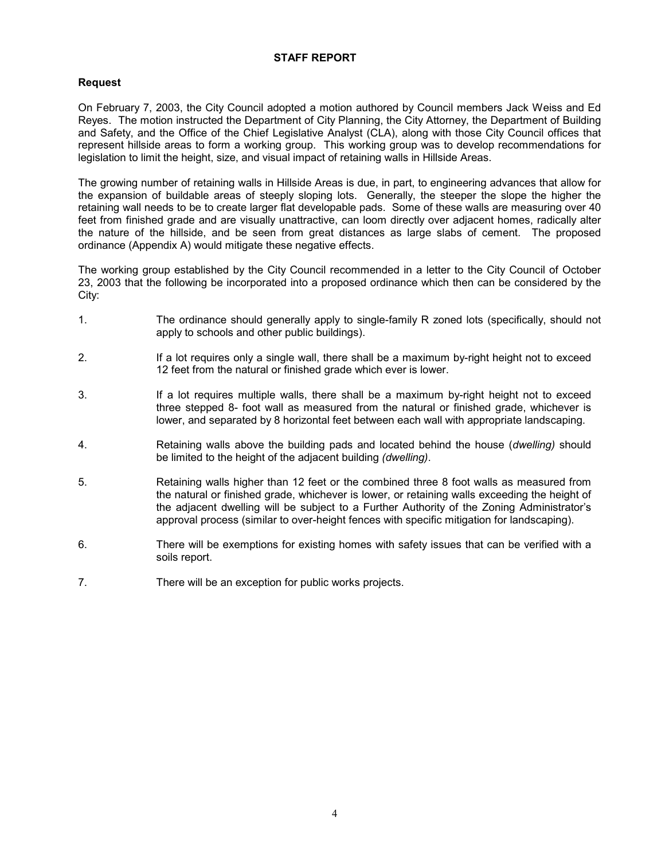## **STAFF REPORT**

## **Request**

On February 7, 2003, the City Council adopted a motion authored by Council members Jack Weiss and Ed Reyes. The motion instructed the Department of City Planning, the City Attorney, the Department of Building and Safety, and the Office of the Chief Legislative Analyst (CLA), along with those City Council offices that represent hillside areas to form a working group. This working group was to develop recommendations for legislation to limit the height, size, and visual impact of retaining walls in Hillside Areas.

The growing number of retaining walls in Hillside Areas is due, in part, to engineering advances that allow for the expansion of buildable areas of steeply sloping lots. Generally, the steeper the slope the higher the retaining wall needs to be to create larger flat developable pads. Some of these walls are measuring over 40 feet from finished grade and are visually unattractive, can loom directly over adjacent homes, radically alter the nature of the hillside, and be seen from great distances as large slabs of cement. The proposed ordinance (Appendix A) would mitigate these negative effects.

The working group established by the City Council recommended in a letter to the City Council of October 23, 2003 that the following be incorporated into a proposed ordinance which then can be considered by the City:

- 1. The ordinance should generally apply to single-family R zoned lots (specifically, should not apply to schools and other public buildings).
- 2. If a lot requires only a single wall, there shall be a maximum by-right height not to exceed 12 feet from the natural or finished grade which ever is lower.
- 3. If a lot requires multiple walls, there shall be a maximum by-right height not to exceed three stepped 8- foot wall as measured from the natural or finished grade, whichever is lower, and separated by 8 horizontal feet between each wall with appropriate landscaping.
- 4. Retaining walls above the building pads and located behind the house (*dwelling)* should be limited to the height of the adjacent building *(dwelling)*.
- 5. Retaining walls higher than 12 feet or the combined three 8 foot walls as measured from the natural or finished grade, whichever is lower, or retaining walls exceeding the height of the adjacent dwelling will be subject to a Further Authority of the Zoning Administrator's approval process (similar to over-height fences with specific mitigation for landscaping).
- 6. There will be exemptions for existing homes with safety issues that can be verified with a soils report.
- 7. There will be an exception for public works projects.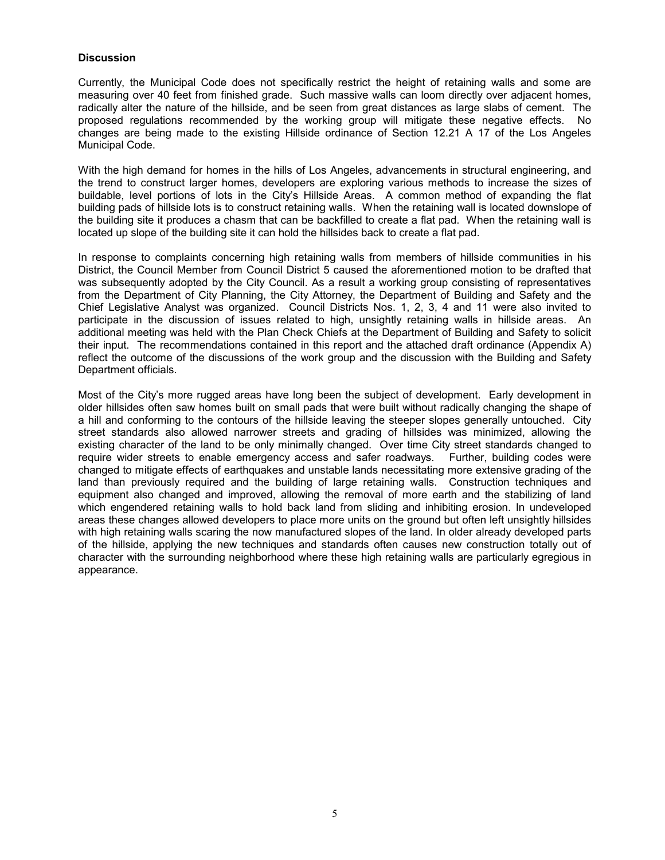## **Discussion**

Currently, the Municipal Code does not specifically restrict the height of retaining walls and some are measuring over 40 feet from finished grade. Such massive walls can loom directly over adjacent homes, radically alter the nature of the hillside, and be seen from great distances as large slabs of cement. The proposed regulations recommended by the working group will mitigate these negative effects. No changes are being made to the existing Hillside ordinance of Section 12.21 A 17 of the Los Angeles Municipal Code.

With the high demand for homes in the hills of Los Angeles, advancements in structural engineering, and the trend to construct larger homes, developers are exploring various methods to increase the sizes of buildable, level portions of lots in the City's Hillside Areas. A common method of expanding the flat building pads of hillside lots is to construct retaining walls. When the retaining wall is located downslope of the building site it produces a chasm that can be backfilled to create a flat pad. When the retaining wall is located up slope of the building site it can hold the hillsides back to create a flat pad.

In response to complaints concerning high retaining walls from members of hillside communities in his District, the Council Member from Council District 5 caused the aforementioned motion to be drafted that was subsequently adopted by the City Council. As a result a working group consisting of representatives from the Department of City Planning, the City Attorney, the Department of Building and Safety and the Chief Legislative Analyst was organized. Council Districts Nos. 1, 2, 3, 4 and 11 were also invited to participate in the discussion of issues related to high, unsightly retaining walls in hillside areas. An additional meeting was held with the Plan Check Chiefs at the Department of Building and Safety to solicit their input. The recommendations contained in this report and the attached draft ordinance (Appendix A) reflect the outcome of the discussions of the work group and the discussion with the Building and Safety Department officials.

Most of the City's more rugged areas have long been the subject of development. Early development in older hillsides often saw homes built on small pads that were built without radically changing the shape of a hill and conforming to the contours of the hillside leaving the steeper slopes generally untouched. City street standards also allowed narrower streets and grading of hillsides was minimized, allowing the existing character of the land to be only minimally changed. Over time City street standards changed to require wider streets to enable emergency access and safer roadways. Further, building codes were changed to mitigate effects of earthquakes and unstable lands necessitating more extensive grading of the land than previously required and the building of large retaining walls. Construction techniques and equipment also changed and improved, allowing the removal of more earth and the stabilizing of land which engendered retaining walls to hold back land from sliding and inhibiting erosion. In undeveloped areas these changes allowed developers to place more units on the ground but often left unsightly hillsides with high retaining walls scaring the now manufactured slopes of the land. In older already developed parts of the hillside, applying the new techniques and standards often causes new construction totally out of character with the surrounding neighborhood where these high retaining walls are particularly egregious in appearance.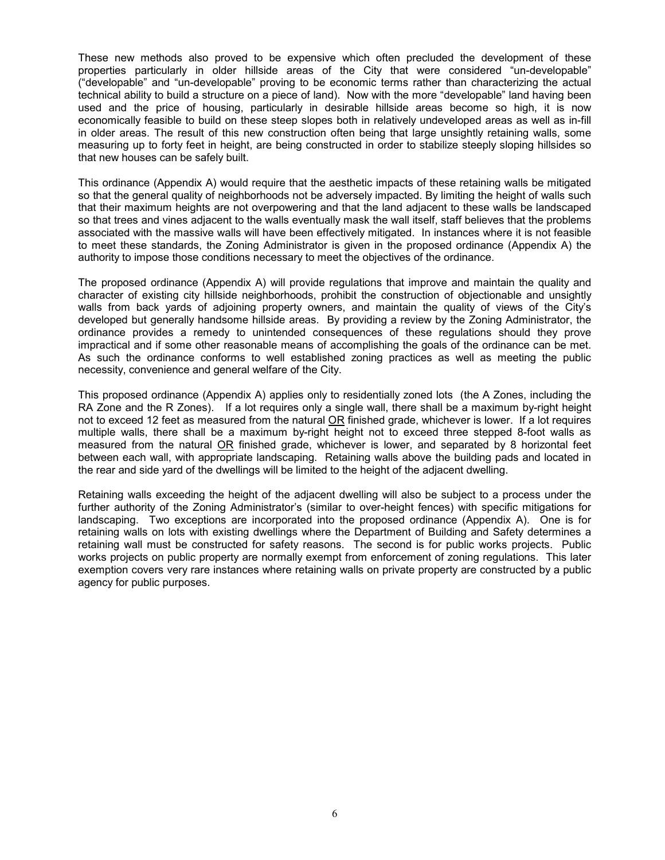These new methods also proved to be expensive which often precluded the development of these properties particularly in older hillside areas of the City that were considered "un-developable" ("developable" and "un-developable" proving to be economic terms rather than characterizing the actual technical ability to build a structure on a piece of land). Now with the more "developable" land having been used and the price of housing, particularly in desirable hillside areas become so high, it is now economically feasible to build on these steep slopes both in relatively undeveloped areas as well as in-fill in older areas. The result of this new construction often being that large unsightly retaining walls, some measuring up to forty feet in height, are being constructed in order to stabilize steeply sloping hillsides so that new houses can be safely built.

This ordinance (Appendix A) would require that the aesthetic impacts of these retaining walls be mitigated so that the general quality of neighborhoods not be adversely impacted. By limiting the height of walls such that their maximum heights are not overpowering and that the land adjacent to these walls be landscaped so that trees and vines adjacent to the walls eventually mask the wall itself, staff believes that the problems associated with the massive walls will have been effectively mitigated. In instances where it is not feasible to meet these standards, the Zoning Administrator is given in the proposed ordinance (Appendix A) the authority to impose those conditions necessary to meet the objectives of the ordinance.

The proposed ordinance (Appendix A) will provide regulations that improve and maintain the quality and character of existing city hillside neighborhoods, prohibit the construction of objectionable and unsightly walls from back yards of adjoining property owners, and maintain the quality of views of the City's developed but generally handsome hillside areas. By providing a review by the Zoning Administrator, the ordinance provides a remedy to unintended consequences of these regulations should they prove impractical and if some other reasonable means of accomplishing the goals of the ordinance can be met. As such the ordinance conforms to well established zoning practices as well as meeting the public necessity, convenience and general welfare of the City.

This proposed ordinance (Appendix A) applies only to residentially zoned lots (the A Zones, including the RA Zone and the R Zones). If a lot requires only a single wall, there shall be a maximum by-right height not to exceed 12 feet as measured from the natural OR finished grade, whichever is lower. If a lot requires multiple walls, there shall be a maximum by-right height not to exceed three stepped 8-foot walls as measured from the natural OR finished grade, whichever is lower, and separated by 8 horizontal feet between each wall, with appropriate landscaping. Retaining walls above the building pads and located in the rear and side yard of the dwellings will be limited to the height of the adjacent dwelling.

Retaining walls exceeding the height of the adjacent dwelling will also be subject to a process under the further authority of the Zoning Administrator's (similar to over-height fences) with specific mitigations for landscaping. Two exceptions are incorporated into the proposed ordinance (Appendix A). One is for retaining walls on lots with existing dwellings where the Department of Building and Safety determines a retaining wall must be constructed for safety reasons. The second is for public works projects. Public works projects on public property are normally exempt from enforcement of zoning regulations. This later exemption covers very rare instances where retaining walls on private property are constructed by a public agency for public purposes.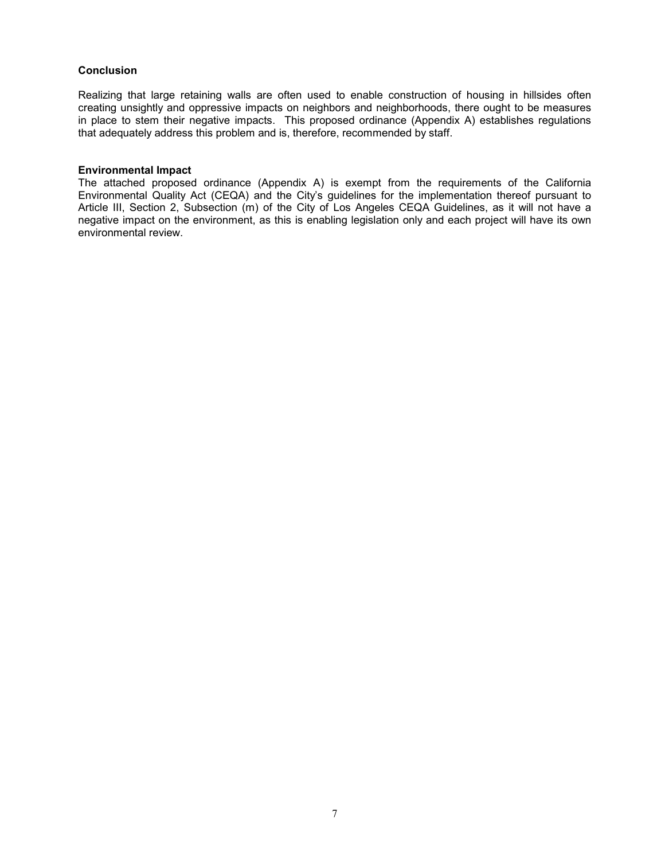## **Conclusion**

Realizing that large retaining walls are often used to enable construction of housing in hillsides often creating unsightly and oppressive impacts on neighbors and neighborhoods, there ought to be measures in place to stem their negative impacts. This proposed ordinance (Appendix A) establishes regulations that adequately address this problem and is, therefore, recommended by staff.

#### **Environmental Impact**

The attached proposed ordinance (Appendix A) is exempt from the requirements of the California Environmental Quality Act (CEQA) and the City's guidelines for the implementation thereof pursuant to Article III, Section 2, Subsection (m) of the City of Los Angeles CEQA Guidelines, as it will not have a negative impact on the environment, as this is enabling legislation only and each project will have its own environmental review.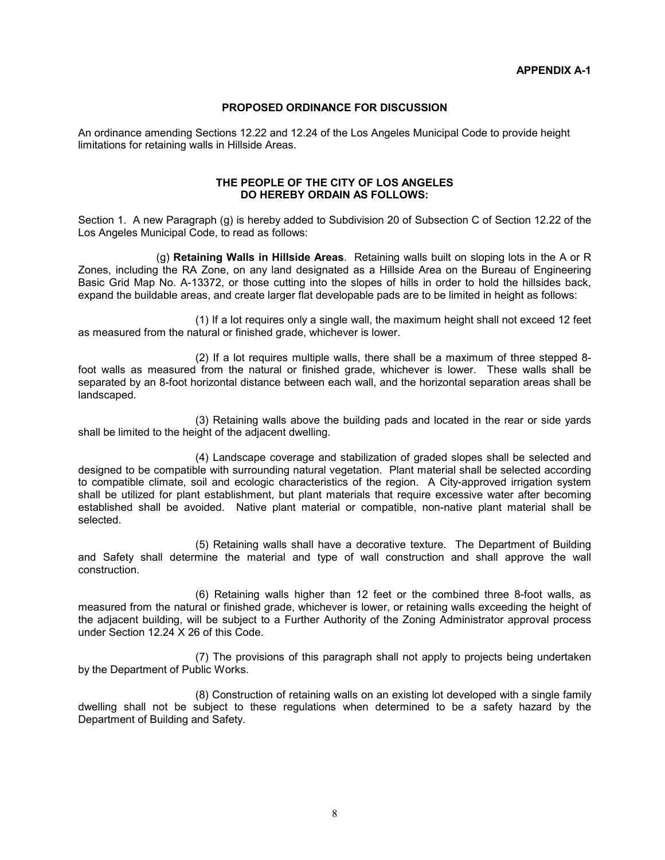## **PROPOSED ORDINANCE FOR DISCUSSION**

An ordinance amending Sections 12.22 and 12.24 of the Los Angeles Municipal Code to provide height limitations for retaining walls in Hillside Areas.

## **THE PEOPLE OF THE CITY OF LOS ANGELES DO HEREBY ORDAIN AS FOLLOWS:**

Section 1. A new Paragraph (g) is hereby added to Subdivision 20 of Subsection C of Section 12.22 of the Los Angeles Municipal Code, to read as follows:

 (g) **Retaining Walls in Hillside Areas**. Retaining walls built on sloping lots in the A or R Zones, including the RA Zone, on any land designated as a Hillside Area on the Bureau of Engineering Basic Grid Map No. A-13372, or those cutting into the slopes of hills in order to hold the hillsides back, expand the buildable areas, and create larger flat developable pads are to be limited in height as follows:

(1) If a lot requires only a single wall, the maximum height shall not exceed 12 feet as measured from the natural or finished grade, whichever is lower.

(2) If a lot requires multiple walls, there shall be a maximum of three stepped 8 foot walls as measured from the natural or finished grade, whichever is lower. These walls shall be separated by an 8-foot horizontal distance between each wall, and the horizontal separation areas shall be landscaped.

(3) Retaining walls above the building pads and located in the rear or side yards shall be limited to the height of the adjacent dwelling.

(4) Landscape coverage and stabilization of graded slopes shall be selected and designed to be compatible with surrounding natural vegetation. Plant material shall be selected according to compatible climate, soil and ecologic characteristics of the region. A City-approved irrigation system shall be utilized for plant establishment, but plant materials that require excessive water after becoming established shall be avoided. Native plant material or compatible, non-native plant material shall be selected.

(5) Retaining walls shall have a decorative texture. The Department of Building and Safety shall determine the material and type of wall construction and shall approve the wall construction.

(6) Retaining walls higher than 12 feet or the combined three 8-foot walls, as measured from the natural or finished grade, whichever is lower, or retaining walls exceeding the height of the adjacent building, will be subject to a Further Authority of the Zoning Administrator approval process under Section 12.24 X 26 of this Code.

(7) The provisions of this paragraph shall not apply to projects being undertaken by the Department of Public Works.

(8) Construction of retaining walls on an existing lot developed with a single family dwelling shall not be subject to these regulations when determined to be a safety hazard by the Department of Building and Safety.